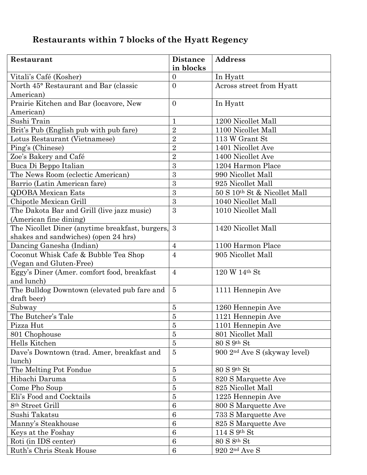## **Restaurants within 7 blocks of the Hyatt Regency**

| Restaurant                                      | <b>Distance</b>  | <b>Address</b>                           |
|-------------------------------------------------|------------------|------------------------------------------|
|                                                 | in blocks        |                                          |
| Vitali's Café (Kosher)                          | $\boldsymbol{0}$ | In Hyatt                                 |
| North 45° Restaurant and Bar (classic           | $\overline{0}$   | Across street from Hyatt                 |
| American)                                       |                  |                                          |
| Prairie Kitchen and Bar (locavore, New          | $\overline{0}$   | In Hyatt                                 |
| American)                                       |                  |                                          |
| Sushi Train                                     | $\mathbf{1}$     | 1200 Nicollet Mall                       |
| Brit's Pub (English pub with pub fare)          | $\overline{2}$   | 1100 Nicollet Mall                       |
| Lotus Restaurant (Vietnamese)                   | $\overline{2}$   | 113 W Grant St                           |
| Ping's (Chinese)                                | $\overline{2}$   | 1401 Nicollet Ave                        |
| Zoe's Bakery and Café                           | $\overline{2}$   | 1400 Nicollet Ave                        |
| Buca Di Beppo Italian                           | 3                | 1204 Harmon Place                        |
| The News Room (eclectic American)               | 3                | 990 Nicollet Mall                        |
| Barrio (Latin American fare)                    | 3                | 925 Nicollet Mall                        |
| <b>QDOBA Mexican Eats</b>                       | 3                | 50 S 10th St & Nicollet Mall             |
| Chipotle Mexican Grill                          | 3                | 1040 Nicollet Mall                       |
| The Dakota Bar and Grill (live jazz music)      | 3                | 1010 Nicollet Mall                       |
| (American fine dining)                          |                  |                                          |
| The Nicollet Diner (anytime breakfast, burgers, | $\overline{3}$   | 1420 Nicollet Mall                       |
| shakes and sandwiches) (open 24 hrs)            |                  |                                          |
| Dancing Ganesha (Indian)                        | $\overline{4}$   | 1100 Harmon Place                        |
| Coconut Whisk Cafe & Bubble Tea Shop            | $\overline{4}$   | 905 Nicollet Mall                        |
| (Vegan and Gluten-Free)                         |                  |                                          |
| Eggy's Diner (Amer. comfort food, breakfast     | $\overline{4}$   | 120 W 14th St                            |
| and lunch)                                      |                  |                                          |
| The Bulldog Downtown (elevated pub fare and     | $\bf 5$          | 1111 Hennepin Ave                        |
| draft beer)                                     |                  |                                          |
| Subway                                          | $\overline{5}$   | 1260 Hennepin Ave                        |
| The Butcher's Tale                              | $\bf 5$          | 1121 Hennepin Ave                        |
| Pizza Hut                                       | 5                | 1101 Hennepin Ave                        |
| 801 Chophouse                                   | $\bf 5$          | 801 Nicollet Mall                        |
| Hells Kitchen                                   | $\overline{5}$   | $80 S$ 9 <sup>th</sup> St                |
| Dave's Downtown (trad. Amer, breakfast and      | $\bf 5$          | 900 2 <sup>nd</sup> Ave S (skyway level) |
| lunch)                                          |                  |                                          |
| The Melting Pot Fondue                          | $\overline{5}$   | $80 S$ 9 <sup>th</sup> St                |
| Hibachi Daruma                                  | $\overline{5}$   | 820 S Marquette Ave                      |
| Come Pho Soup                                   | $\bf 5$          | 825 Nicollet Mall                        |
| Eli's Food and Cocktails                        | $\overline{5}$   | 1225 Hennepin Ave                        |
| 8 <sup>th</sup> Street Grill                    | $\boldsymbol{6}$ | 800 S Marquette Ave                      |
| Sushi Takatsu                                   | $6\phantom{.}6$  | 733 S Marquette Ave                      |
| Manny's Steakhouse                              | $6\phantom{.}6$  | 825 S Marquette Ave                      |
| Keys at the Foshay                              | $\overline{6}$   | 114 S 9 <sup>th</sup> St                 |
| Roti (in IDS center)                            | $6\phantom{.}6$  | 80 S 8th St                              |
| Ruth's Chris Steak House                        | $\,6\,$          | $920$ $2nd$ Ave S                        |